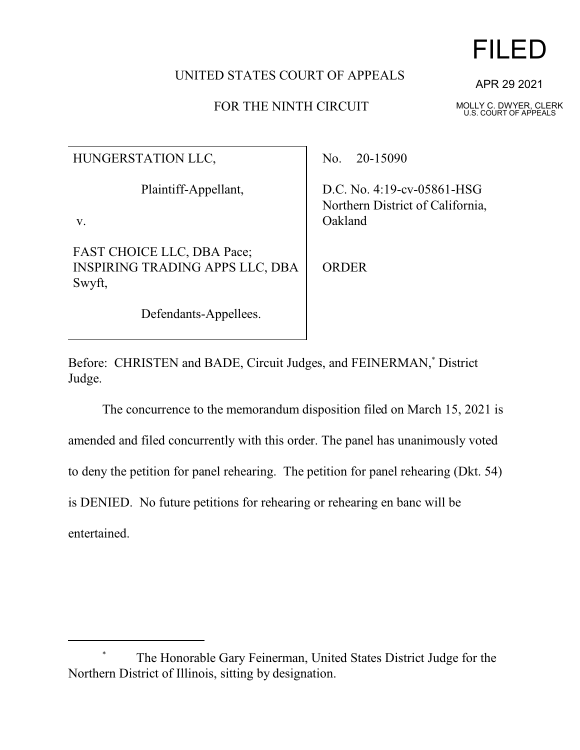## UNITED STATES COURT OF APPEALS

## FOR THE NINTH CIRCUIT

APR 29 2021

FILED

MOLLY C. DWYER, CLERK U.S. COURT OF APPEALS

| HUNGERSTATION LLC,                                                             | No. $20-15090$                                                               |
|--------------------------------------------------------------------------------|------------------------------------------------------------------------------|
| Plaintiff-Appellant,<br>V.                                                     | D.C. No. $4:19$ -cv-05861-HSG<br>Northern District of California,<br>Oakland |
| <b>FAST CHOICE LLC, DBA Pace;</b><br>INSPIRING TRADING APPS LLC, DBA<br>Swyft, | ORDER                                                                        |
| Defendants-Appellees.                                                          |                                                                              |

Before: CHRISTEN and BADE, Circuit Judges, and FEINERMAN,\* District Judge.

The concurrence to the memorandum disposition filed on March 15, 2021 is amended and filed concurrently with this order. The panel has unanimously voted to deny the petition for panel rehearing. The petition for panel rehearing (Dkt. 54) is DENIED. No future petitions for rehearing or rehearing en banc will be entertained.

The Honorable Gary Feinerman, United States District Judge for the Northern District of Illinois, sitting by designation.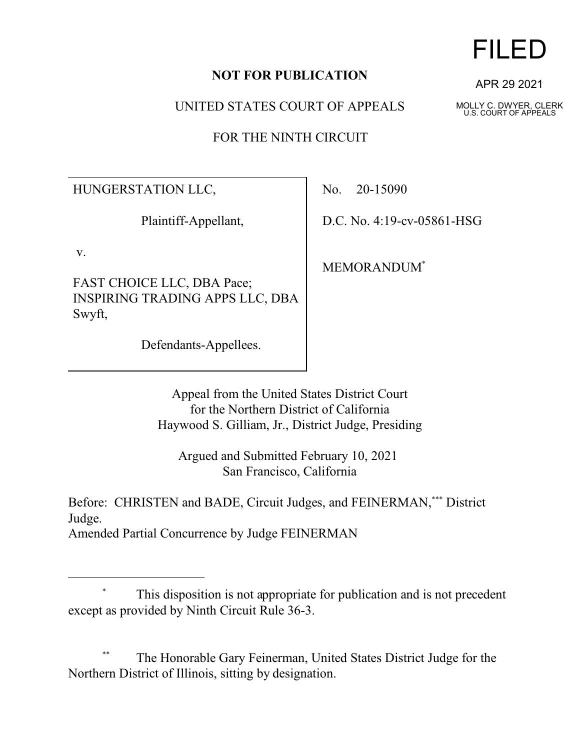#### **NOT FOR PUBLICATION**

UNITED STATES COURT OF APPEALS

FOR THE NINTH CIRCUIT

HUNGERSTATION LLC,

Plaintiff-Appellant,

v.

FAST CHOICE LLC, DBA Pace; INSPIRING TRADING APPS LLC, DBA Swyft,

Defendants-Appellees.

No. 20-15090

D.C. No. 4:19-cv-05861-HSG

MEMORANDUM\*

Appeal from the United States District Court for the Northern District of California Haywood S. Gilliam, Jr., District Judge, Presiding

Argued and Submitted February 10, 2021 San Francisco, California

Before: CHRISTEN and BADE, Circuit Judges, and FEINERMAN,\*\*\* District Judge.

Amended Partial Concurrence by Judge FEINERMAN

The Honorable Gary Feinerman, United States District Judge for the Northern District of Illinois, sitting by designation.

# FILED

APR 29 2021

MOLLY C. DWYER, CLERK U.S. COURT OF APPEALS

This disposition is not appropriate for publication and is not precedent except as provided by Ninth Circuit Rule 36-3.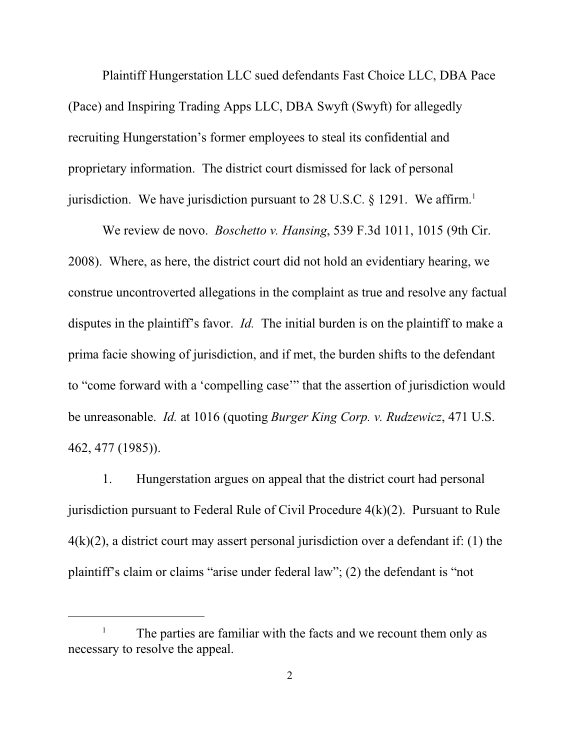Plaintiff Hungerstation LLC sued defendants Fast Choice LLC, DBA Pace (Pace) and Inspiring Trading Apps LLC, DBA Swyft (Swyft) for allegedly recruiting Hungerstation's former employees to steal its confidential and proprietary information. The district court dismissed for lack of personal jurisdiction. We have jurisdiction pursuant to 28 U.S.C.  $\S$  1291. We affirm.<sup>1</sup>

We review de novo. *Boschetto v. Hansing*, 539 F.3d 1011, 1015 (9th Cir. 2008). Where, as here, the district court did not hold an evidentiary hearing, we construe uncontroverted allegations in the complaint as true and resolve any factual disputes in the plaintiff's favor. *Id.* The initial burden is on the plaintiff to make a prima facie showing of jurisdiction, and if met, the burden shifts to the defendant to "come forward with a 'compelling case'" that the assertion of jurisdiction would be unreasonable. *Id.* at 1016 (quoting *Burger King Corp. v. Rudzewicz*, 471 U.S. 462, 477 (1985)).

1. Hungerstation argues on appeal that the district court had personal jurisdiction pursuant to Federal Rule of Civil Procedure 4(k)(2). Pursuant to Rule  $4(k)(2)$ , a district court may assert personal jurisdiction over a defendant if: (1) the plaintiff's claim or claims "arise under federal law"; (2) the defendant is "not

The parties are familiar with the facts and we recount them only as necessary to resolve the appeal.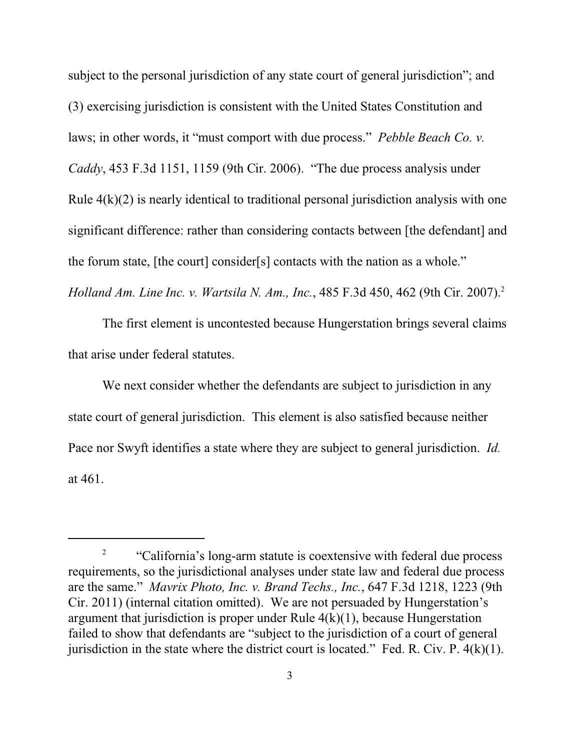subject to the personal jurisdiction of any state court of general jurisdiction"; and (3) exercising jurisdiction is consistent with the United States Constitution and laws; in other words, it "must comport with due process." *Pebble Beach Co. v. Caddy*, 453 F.3d 1151, 1159 (9th Cir. 2006). "The due process analysis under Rule  $4(k)(2)$  is nearly identical to traditional personal jurisdiction analysis with one significant difference: rather than considering contacts between [the defendant] and the forum state, [the court] consider[s] contacts with the nation as a whole." *Holland Am. Line Inc. v. Wartsila N. Am., Inc.*, 485 F.3d 450, 462 (9th Cir. 2007).<sup>2</sup>

The first element is uncontested because Hungerstation brings several claims that arise under federal statutes.

We next consider whether the defendants are subject to jurisdiction in any state court of general jurisdiction. This element is also satisfied because neither Pace nor Swyft identifies a state where they are subject to general jurisdiction. *Id.* at 461.

<sup>2</sup> "California's long-arm statute is coextensive with federal due process requirements, so the jurisdictional analyses under state law and federal due process are the same." *Mavrix Photo, Inc. v. Brand Techs., Inc.*, 647 F.3d 1218, 1223 (9th Cir. 2011) (internal citation omitted). We are not persuaded by Hungerstation's argument that jurisdiction is proper under Rule  $4(k)(1)$ , because Hungerstation failed to show that defendants are "subject to the jurisdiction of a court of general jurisdiction in the state where the district court is located." Fed. R. Civ. P.  $4(k)(1)$ .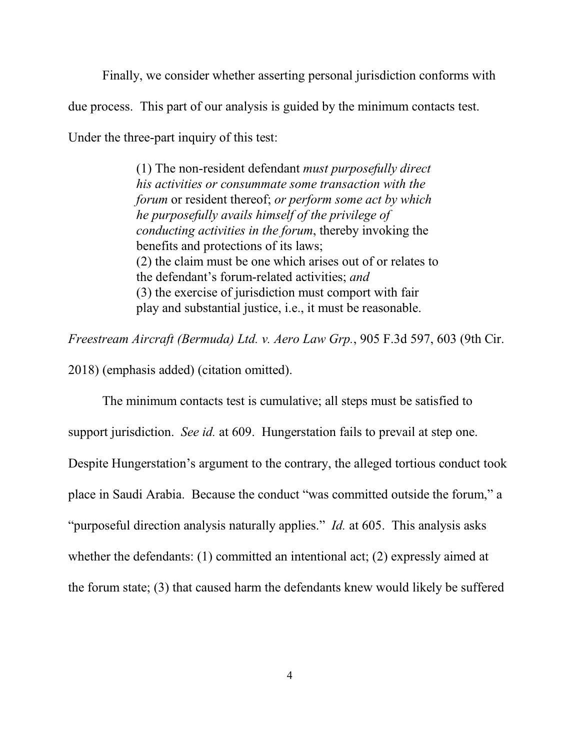Finally, we consider whether asserting personal jurisdiction conforms with due process. This part of our analysis is guided by the minimum contacts test. Under the three-part inquiry of this test:

> (1) The non-resident defendant *must purposefully direct his activities or consummate some transaction with the forum* or resident thereof; *or perform some act by which he purposefully avails himself of the privilege of conducting activities in the forum*, thereby invoking the benefits and protections of its laws; (2) the claim must be one which arises out of or relates to the defendant's forum-related activities; *and* (3) the exercise of jurisdiction must comport with fair play and substantial justice, i.e., it must be reasonable.

*Freestream Aircraft (Bermuda) Ltd. v. Aero Law Grp.*, 905 F.3d 597, 603 (9th Cir.

2018) (emphasis added) (citation omitted).

The minimum contacts test is cumulative; all steps must be satisfied to support jurisdiction. *See id.* at 609. Hungerstation fails to prevail at step one. Despite Hungerstation's argument to the contrary, the alleged tortious conduct took place in Saudi Arabia. Because the conduct "was committed outside the forum," a "purposeful direction analysis naturally applies." *Id.* at 605. This analysis asks whether the defendants: (1) committed an intentional act; (2) expressly aimed at the forum state; (3) that caused harm the defendants knew would likely be suffered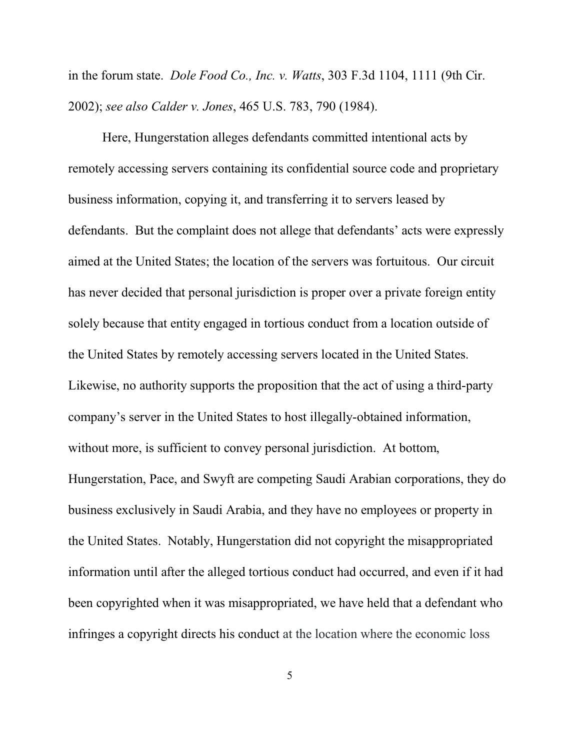in the forum state. *Dole Food Co., Inc. v. Watts*, 303 F.3d 1104, 1111 (9th Cir. 2002); *see also Calder v. Jones*, 465 U.S. 783, 790 (1984).

Here, Hungerstation alleges defendants committed intentional acts by remotely accessing servers containing its confidential source code and proprietary business information, copying it, and transferring it to servers leased by defendants. But the complaint does not allege that defendants' acts were expressly aimed at the United States; the location of the servers was fortuitous. Our circuit has never decided that personal jurisdiction is proper over a private foreign entity solely because that entity engaged in tortious conduct from a location outside of the United States by remotely accessing servers located in the United States. Likewise, no authority supports the proposition that the act of using a third-party company's server in the United States to host illegally-obtained information, without more, is sufficient to convey personal jurisdiction. At bottom, Hungerstation, Pace, and Swyft are competing Saudi Arabian corporations, they do business exclusively in Saudi Arabia, and they have no employees or property in the United States. Notably, Hungerstation did not copyright the misappropriated information until after the alleged tortious conduct had occurred, and even if it had been copyrighted when it was misappropriated, we have held that a defendant who infringes a copyright directs his conduct at the location where the economic loss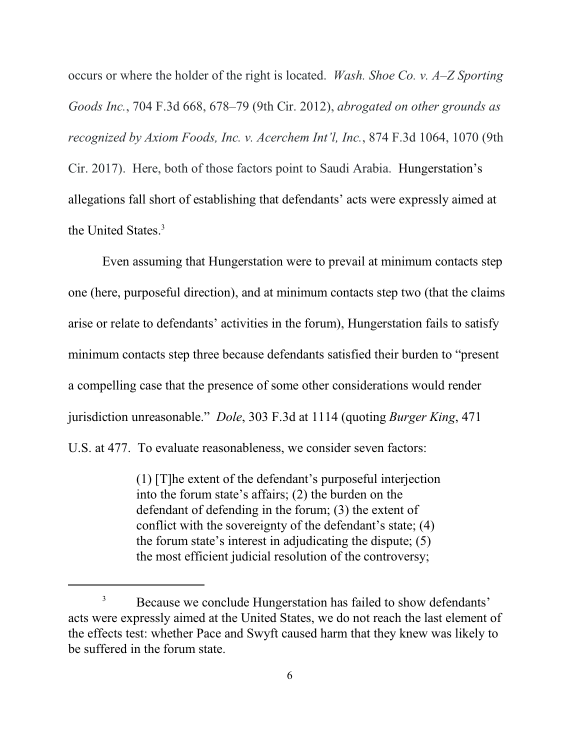occurs or where the holder of the right is located. *Wash. Shoe Co. v. A–Z Sporting Goods Inc.*, 704 F.3d 668, 678–79 (9th Cir. 2012), *abrogated on other grounds as recognized by Axiom Foods, Inc. v. Acerchem Int'l, Inc.*, 874 F.3d 1064, 1070 (9th Cir. 2017). Here, both of those factors point to Saudi Arabia. Hungerstation's allegations fall short of establishing that defendants' acts were expressly aimed at the United States.<sup>3</sup>

Even assuming that Hungerstation were to prevail at minimum contacts step one (here, purposeful direction), and at minimum contacts step two (that the claims arise or relate to defendants' activities in the forum), Hungerstation fails to satisfy minimum contacts step three because defendants satisfied their burden to "present a compelling case that the presence of some other considerations would render jurisdiction unreasonable." *Dole*, 303 F.3d at 1114 (quoting *Burger King*, 471 U.S. at 477. To evaluate reasonableness, we consider seven factors:

> (1) [T]he extent of the defendant's purposeful interjection into the forum state's affairs; (2) the burden on the defendant of defending in the forum; (3) the extent of conflict with the sovereignty of the defendant's state; (4) the forum state's interest in adjudicating the dispute; (5) the most efficient judicial resolution of the controversy;

<sup>&</sup>lt;sup>3</sup> Because we conclude Hungerstation has failed to show defendants' acts were expressly aimed at the United States, we do not reach the last element of the effects test: whether Pace and Swyft caused harm that they knew was likely to be suffered in the forum state.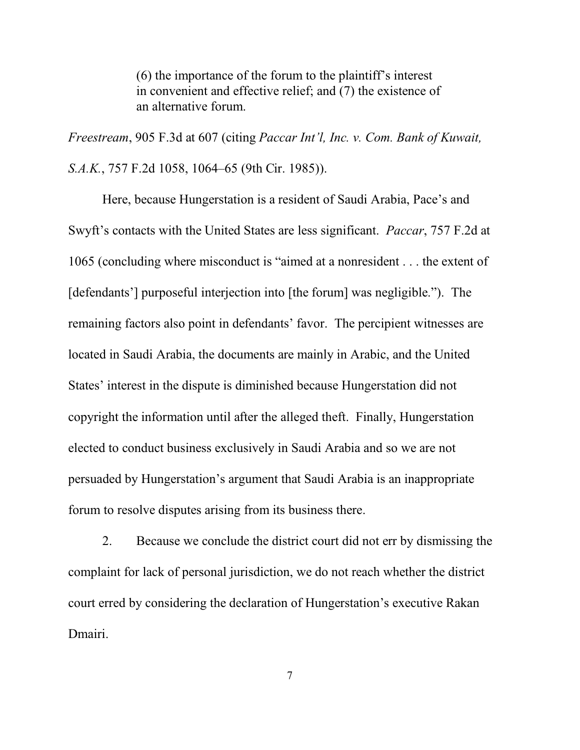(6) the importance of the forum to the plaintiff's interest in convenient and effective relief; and (7) the existence of an alternative forum.

*Freestream*, 905 F.3d at 607 (citing *Paccar Int'l, Inc. v. Com. Bank of Kuwait, S.A.K.*, 757 F.2d 1058, 1064–65 (9th Cir. 1985)).

Here, because Hungerstation is a resident of Saudi Arabia, Pace's and Swyft's contacts with the United States are less significant. *Paccar*, 757 F.2d at 1065 (concluding where misconduct is "aimed at a nonresident . . . the extent of [defendants'] purposeful interjection into [the forum] was negligible."). The remaining factors also point in defendants' favor. The percipient witnesses are located in Saudi Arabia, the documents are mainly in Arabic, and the United States' interest in the dispute is diminished because Hungerstation did not copyright the information until after the alleged theft. Finally, Hungerstation elected to conduct business exclusively in Saudi Arabia and so we are not persuaded by Hungerstation's argument that Saudi Arabia is an inappropriate forum to resolve disputes arising from its business there.

2. Because we conclude the district court did not err by dismissing the complaint for lack of personal jurisdiction, we do not reach whether the district court erred by considering the declaration of Hungerstation's executive Rakan Dmairi.

7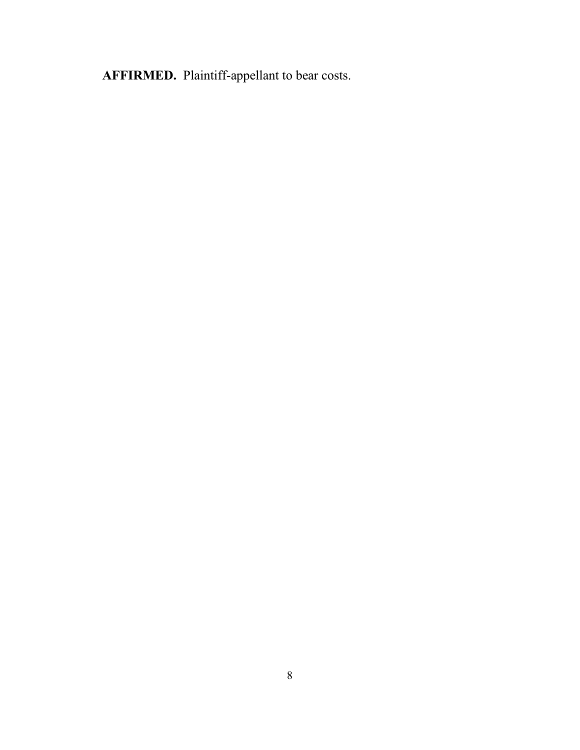**AFFIRMED.** Plaintiff-appellant to bear costs.